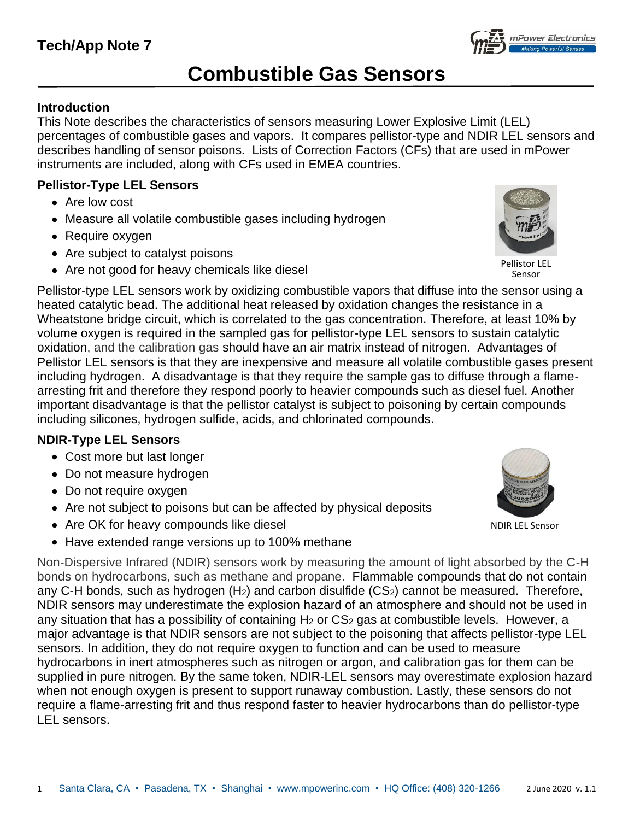# **Combustible Gas Sensors**

# **Introduction**

This Note describes the characteristics of sensors measuring Lower Explosive Limit (LEL) percentages of combustible gases and vapors. It compares pellistor-type and NDIR LEL sensors and describes handling of sensor poisons. Lists of Correction Factors (CFs) that are used in mPower instruments are included, along with CFs used in EMEA countries.

### **Pellistor-Type LEL Sensors**

- Are low cost
- Measure all volatile combustible gases including hydrogen
- Require oxygen
- Are subject to catalyst poisons
- Are not good for heavy chemicals like diesel

Pellistor-type LEL sensors work by oxidizing combustible vapors that diffuse into the sensor using a heated catalytic bead. The additional heat released by oxidation changes the resistance in a Wheatstone bridge circuit, which is correlated to the gas concentration. Therefore, at least 10% by volume oxygen is required in the sampled gas for pellistor-type LEL sensors to sustain catalytic oxidation, and the calibration gas should have an air matrix instead of nitrogen. Advantages of Pellistor LEL sensors is that they are inexpensive and measure all volatile combustible gases present including hydrogen. A disadvantage is that they require the sample gas to diffuse through a flamearresting frit and therefore they respond poorly to heavier compounds such as diesel fuel. Another important disadvantage is that the pellistor catalyst is subject to poisoning by certain compounds including silicones, hydrogen sulfide, acids, and chlorinated compounds.

## **NDIR-Type LEL Sensors**

- Cost more but last longer
- Do not measure hydrogen
- Do not require oxygen
- Are not subject to poisons but can be affected by physical deposits
- Are OK for heavy compounds like diesel
- Have extended range versions up to 100% methane

Non-Dispersive Infrared (NDIR) sensors work by measuring the amount of light absorbed by the C-H bonds on hydrocarbons, such as methane and propane. Flammable compounds that do not contain any C-H bonds, such as hydrogen  $(H<sub>2</sub>)$  and carbon disulfide  $(CS<sub>2</sub>)$  cannot be measured. Therefore, NDIR sensors may underestimate the explosion hazard of an atmosphere and should not be used in any situation that has a possibility of containing  $H_2$  or  $CS_2$  gas at combustible levels. However, a major advantage is that NDIR sensors are not subject to the poisoning that affects pellistor-type LEL sensors. In addition, they do not require oxygen to function and can be used to measure hydrocarbons in inert atmospheres such as nitrogen or argon, and calibration gas for them can be supplied in pure nitrogen. By the same token, NDIR-LEL sensors may overestimate explosion hazard when not enough oxygen is present to support runaway combustion. Lastly, these sensors do not require a flame-arresting frit and thus respond faster to heavier hydrocarbons than do pellistor-type LEL sensors.





Sensor





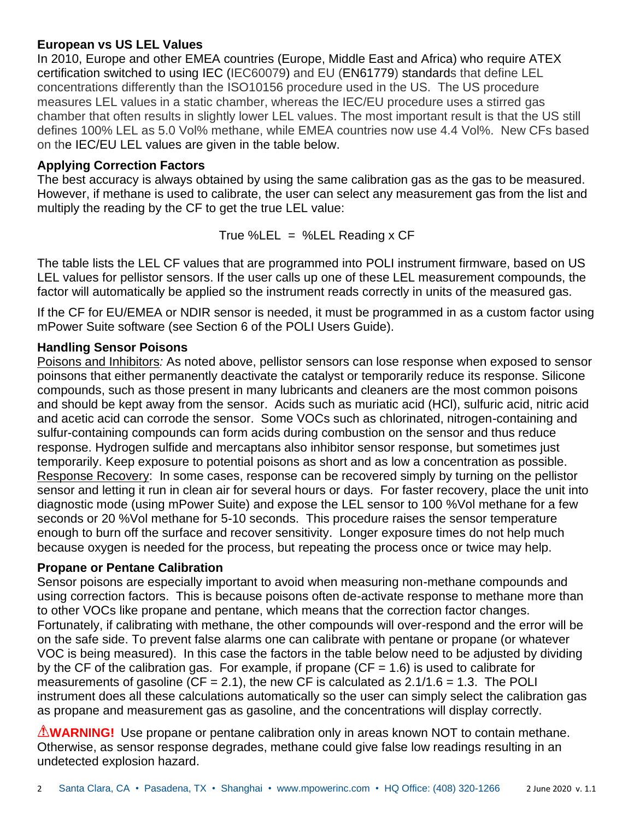#### **European vs US LEL Values**

In 2010, Europe and other EMEA countries (Europe, Middle East and Africa) who require ATEX certification switched to using IEC (IEC60079) and EU (EN61779) standards that define LEL concentrations differently than the ISO10156 procedure used in the US. The US procedure measures LEL values in a static chamber, whereas the IEC/EU procedure uses a stirred gas chamber that often results in slightly lower LEL values. The most important result is that the US still defines 100% LEL as 5.0 Vol% methane, while EMEA countries now use 4.4 Vol%. New CFs based on the IEC/EU LEL values are given in the table below.

#### **Applying Correction Factors**

The best accuracy is always obtained by using the same calibration gas as the gas to be measured. However, if methane is used to calibrate, the user can select any measurement gas from the list and multiply the reading by the CF to get the true LEL value:

True %LEL = %LEL Reading  $x$  CF

The table lists the LEL CF values that are programmed into POLI instrument firmware, based on US LEL values for pellistor sensors. If the user calls up one of these LEL measurement compounds, the factor will automatically be applied so the instrument reads correctly in units of the measured gas.

If the CF for EU/EMEA or NDIR sensor is needed, it must be programmed in as a custom factor using mPower Suite software (see Section 6 of the POLI Users Guide).

#### **Handling Sensor Poisons**

Poisons and Inhibitors*:* As noted above, pellistor sensors can lose response when exposed to sensor poinsons that either permanently deactivate the catalyst or temporarily reduce its response. Silicone compounds, such as those present in many lubricants and cleaners are the most common poisons and should be kept away from the sensor. Acids such as muriatic acid (HCl), sulfuric acid, nitric acid and acetic acid can corrode the sensor. Some VOCs such as chlorinated, nitrogen-containing and sulfur-containing compounds can form acids during combustion on the sensor and thus reduce response. Hydrogen sulfide and mercaptans also inhibitor sensor response, but sometimes just temporarily. Keep exposure to potential poisons as short and as low a concentration as possible. Response Recovery: In some cases, response can be recovered simply by turning on the pellistor sensor and letting it run in clean air for several hours or days. For faster recovery, place the unit into diagnostic mode (using mPower Suite) and expose the LEL sensor to 100 %Vol methane for a few seconds or 20 %Vol methane for 5-10 seconds. This procedure raises the sensor temperature enough to burn off the surface and recover sensitivity. Longer exposure times do not help much because oxygen is needed for the process, but repeating the process once or twice may help.

#### **Propane or Pentane Calibration**

Sensor poisons are especially important to avoid when measuring non-methane compounds and using correction factors. This is because poisons often de-activate response to methane more than to other VOCs like propane and pentane, which means that the correction factor changes. Fortunately, if calibrating with methane, the other compounds will over-respond and the error will be on the safe side. To prevent false alarms one can calibrate with pentane or propane (or whatever VOC is being measured). In this case the factors in the table below need to be adjusted by dividing by the CF of the calibration gas. For example, if propane ( $CF = 1.6$ ) is used to calibrate for measurements of gasoline (CF = 2.1), the new CF is calculated as  $2.1/1.6 = 1.3$ . The POLI instrument does all these calculations automatically so the user can simply select the calibration gas as propane and measurement gas as gasoline, and the concentrations will display correctly.

**WARNING!** Use propane or pentane calibration only in areas known NOT to contain methane. Otherwise, as sensor response degrades, methane could give false low readings resulting in an undetected explosion hazard.